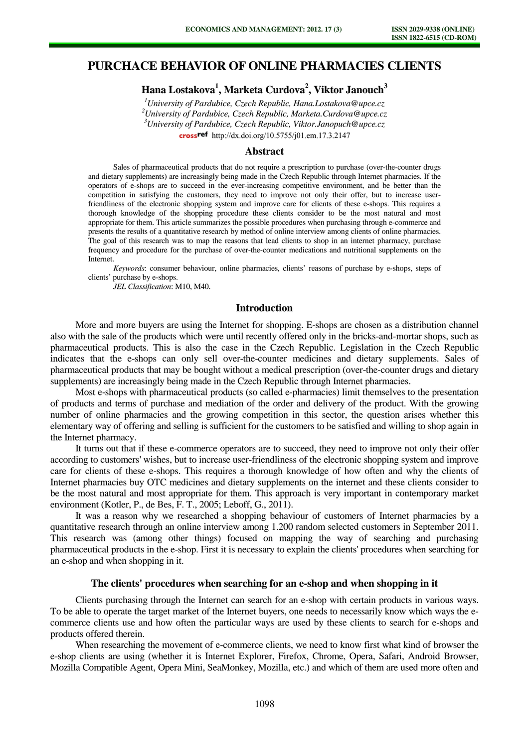# **PURCHACE BEHAVIOR OF ONLINE PHARMACIES CLIENTS**

**Hana Lostakova<sup>1</sup> , Marketa Curdova<sup>2</sup> , Viktor Janouch<sup>3</sup>** 

*<sup>1</sup>University of Pardubice, Czech Republic, Hana.Lostakova@upce.cz <sup>2</sup>University of Pardubice, Czech Republic, [Marketa.Curdova@upce.cz](mailto:Marketa.Curdova@upce.cz) <sup>3</sup>University of Pardubice, Czech Republic, [Viktor.Janopuch@upce.cz](mailto:Viktor.Janopuch@upce.cz)*

[http://dx.doi.org/10.5755/j01.e](http://dx.doi.org/10.5755/j01.em.17.3.2147)m.17.3.2147

## **Abstract**

Sales of pharmaceutical products that do not require a prescription to purchase (over-the-counter drugs and dietary supplements) are increasingly being made in the Czech Republic through Internet pharmacies. If the operators of e-shops are to succeed in the ever-increasing competitive environment, and be better than the competition in satisfying the customers, they need to improve not only their offer, but to increase userfriendliness of the electronic shopping system and improve care for clients of these e-shops. This requires a thorough knowledge of the shopping procedure these clients consider to be the most natural and most appropriate for them. This article summarizes the possible procedures when purchasing through e-commerce and presents the results of a quantitative research by method of online interview among clients of online pharmacies. The goal of this research was to map the reasons that lead clients to shop in an internet pharmacy, purchase frequency and procedure for the purchase of over-the-counter medications and nutritional supplements on the Internet.

*Keywords*: consumer behaviour, online pharmacies, clients' reasons of purchase by e-shops, steps of clients' purchase by e-shops.

*JEL Classification*: M10, M40.

## **Introduction**

More and more buyers are using the Internet for shopping. E-shops are chosen as a distribution channel also with the sale of the products which were until recently offered only in the bricks-and-mortar shops, such as pharmaceutical products. This is also the case in the Czech Republic. Legislation in the Czech Republic indicates that the e-shops can only sell over-the-counter medicines and dietary supplements. Sales of pharmaceutical products that may be bought without a medical prescription (over-the-counter drugs and dietary supplements) are increasingly being made in the Czech Republic through Internet pharmacies.

Most e-shops with pharmaceutical products (so called e-pharmacies) limit themselves to the presentation of products and terms of purchase and mediation of the order and delivery of the product. With the growing number of online pharmacies and the growing competition in this sector, the question arises whether this elementary way of offering and selling is sufficient for the customers to be satisfied and willing to shop again in the Internet pharmacy.

It turns out that if these e-commerce operators are to succeed, they need to improve not only their offer according to customers' wishes, but to increase user-friendliness of the electronic shopping system and improve care for clients of these e-shops. This requires a thorough knowledge of how often and why the clients of Internet pharmacies buy OTC medicines and dietary supplements on the internet and these clients consider to be the most natural and most appropriate for them. This approach is very important in contemporary market environment (Kotler, P., de Bes, F. T., 2005; Leboff, G., 2011).

It was a reason why we researched a shopping behaviour of customers of Internet pharmacies by a quantitative research through an online interview among 1.200 random selected customers in September 2011. This research was (among other things) focused on mapping the way of searching and purchasing pharmaceutical products in the e-shop. First it is necessary to explain the clients' procedures when searching for an e-shop and when shopping in it.

## **The clients' procedures when searching for an e-shop and when shopping in it**

Clients purchasing through the Internet can search for an e-shop with certain products in various ways. To be able to operate the target market of the Internet buyers, one needs to necessarily know which ways the ecommerce clients use and how often the particular ways are used by these clients to search for e-shops and products offered therein.

When researching the movement of e-commerce clients, we need to know first what kind of browser the e-shop clients are using (whether it is Internet Explorer, Firefox, Chrome, Opera, Safari, Android Browser, Mozilla Compatible Agent, Opera Mini, SeaMonkey, Mozilla, etc.) and which of them are used more often and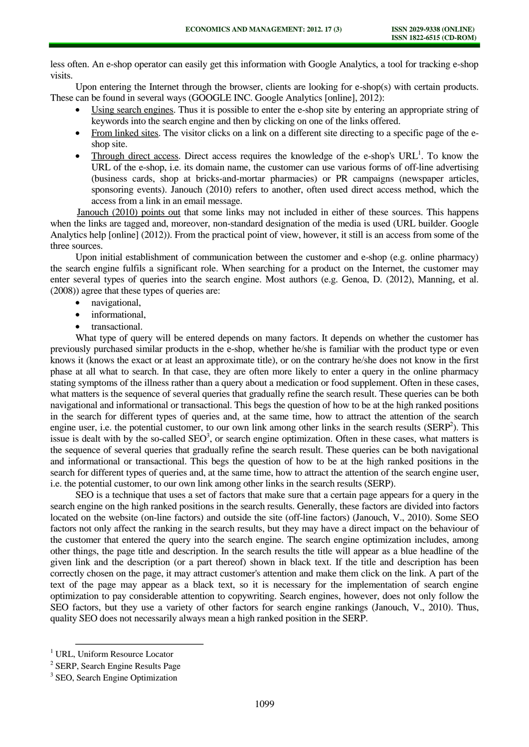less often. An e-shop operator can easily get this information with Google Analytics, a tool for tracking e-shop visits.

Upon entering the Internet through the browser, clients are looking for e-shop(s) with certain products. These can be found in several ways (GOOGLE INC. Google Analytics [online], 2012):

- Using search engines. Thus it is possible to enter the e-shop site by entering an appropriate string of keywords into the search engine and then by clicking on one of the links offered.
- From linked sites. The visitor clicks on a link on a different site directing to a specific page of the eshop site.
- Through direct access. Direct access requires the knowledge of the e-shop's  $URL<sup>1</sup>$ . To know the  $\bullet$ URL of the e-shop, i.e. its domain name, the customer can use various forms of off-line advertising (business cards, shop at bricks-and-mortar pharmacies) or PR campaigns (newspaper articles, sponsoring events). Janouch (2010) refers to another, often used direct access method, which the access from a link in an email message.

Janouch (2010) points out that some links may not included in either of these sources. This happens when the links are tagged and, moreover, non-standard designation of the media is used (URL builder. Google Analytics help [online] (2012)). From the practical point of view, however, it still is an access from some of the three sources.

Upon initial establishment of communication between the customer and e-shop (e.g. online pharmacy) the search engine fulfils a significant role. When searching for a product on the Internet, the customer may enter several types of queries into the search engine. Most authors (e.g. Genoa, D. (2012), Manning, et al. (2008)) agree that these types of queries are:

- navigational,  $\blacktriangle$
- informational,
- transactional.

What type of query will be entered depends on many factors. It depends on whether the customer has previously purchased similar products in the e-shop, whether he/she is familiar with the product type or even knows it (knows the exact or at least an approximate title), or on the contrary he/she does not know in the first phase at all what to search. In that case, they are often more likely to enter a query in the online pharmacy stating symptoms of the illness rather than a query about a medication or food supplement. Often in these cases, what matters is the sequence of several queries that gradually refine the search result. These queries can be both navigational and informational or transactional. This begs the question of how to be at the high ranked positions in the search for different types of queries and, at the same time, how to attract the attention of the search engine user, i.e. the potential customer, to our own link among other links in the search results ( $SERP<sup>2</sup>$ ). This issue is dealt with by the so-called  $\text{SEO}^3$ , or search engine optimization. Often in these cases, what matters is the sequence of several queries that gradually refine the search result. These queries can be both navigational and informational or transactional. This begs the question of how to be at the high ranked positions in the search for different types of queries and, at the same time, how to attract the attention of the search engine user, i.e. the potential customer, to our own link among other links in the search results (SERP).

SEO is a technique that uses a set of factors that make sure that a certain page appears for a query in the search engine on the high ranked positions in the search results. Generally, these factors are divided into factors located on the website (on-line factors) and outside the site (off-line factors) (Janouch, V., 2010). Some SEO factors not only affect the ranking in the search results, but they may have a direct impact on the behaviour of the customer that entered the query into the search engine. The search engine optimization includes, among other things, the page title and description. In the search results the title will appear as a blue headline of the given link and the description (or a part thereof) shown in black text. If the title and description has been correctly chosen on the page, it may attract customer's attention and make them click on the link. A part of the text of the page may appear as a black text, so it is necessary for the implementation of search engine optimization to pay considerable attention to copywriting. Search engines, however, does not only follow the SEO factors, but they use a variety of other factors for search engine rankings (Janouch, V., 2010). Thus, quality SEO does not necessarily always mean a high ranked position in the SERP.

l

<sup>&</sup>lt;sup>1</sup> URL, Uniform Resource Locator

<sup>&</sup>lt;sup>2</sup> SERP, Search Engine Results Page

<sup>&</sup>lt;sup>3</sup> SEO, Search Engine Optimization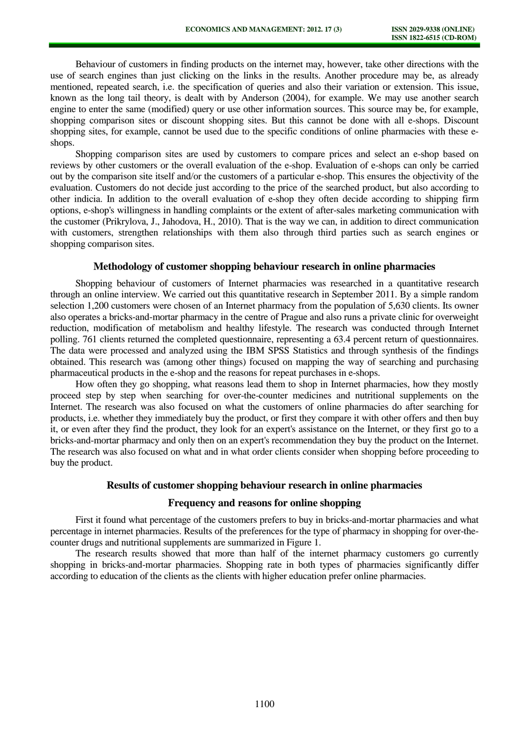Behaviour of customers in finding products on the internet may, however, take other directions with the use of search engines than just clicking on the links in the results. Another procedure may be, as already mentioned, repeated search, i.e. the specification of queries and also their variation or extension. This issue, known as the long tail theory, is dealt with by Anderson (2004), for example. We may use another search engine to enter the same (modified) query or use other information sources. This source may be, for example, shopping comparison sites or discount shopping sites. But this cannot be done with all e-shops. Discount shopping sites, for example, cannot be used due to the specific conditions of online pharmacies with these eshops.

Shopping comparison sites are used by customers to compare prices and select an e-shop based on reviews by other customers or the overall evaluation of the e-shop. Evaluation of e-shops can only be carried out by the comparison site itself and/or the customers of a particular e-shop. This ensures the objectivity of the evaluation. Customers do not decide just according to the price of the searched product, but also according to other indicia. In addition to the overall evaluation of e-shop they often decide according to shipping firm options, e-shop's willingness in handling complaints or the extent of after-sales marketing communication with the customer (Prikrylova, J., Jahodova, H., 2010). That is the way we can, in addition to direct communication with customers, strengthen relationships with them also through third parties such as search engines or shopping comparison sites.

## **Methodology of customer shopping behaviour research in online pharmacies**

Shopping behaviour of customers of Internet pharmacies was researched in a quantitative research through an online interview. We carried out this quantitative research in September 2011. By a simple random selection 1,200 customers were chosen of an Internet pharmacy from the population of 5,630 clients. Its owner also operates a bricks-and-mortar pharmacy in the centre of Prague and also runs a private clinic for overweight reduction, modification of metabolism and healthy lifestyle. The research was conducted through Internet polling. 761 clients returned the completed questionnaire, representing a 63.4 percent return of questionnaires. The data were processed and analyzed using the IBM SPSS Statistics and through synthesis of the findings obtained. This research was (among other things) focused on mapping the way of searching and purchasing pharmaceutical products in the e-shop and the reasons for repeat purchases in e-shops.

How often they go shopping, what reasons lead them to shop in Internet pharmacies, how they mostly proceed step by step when searching for over-the-counter medicines and nutritional supplements on the Internet. The research was also focused on what the customers of online pharmacies do after searching for products, i.e. whether they immediately buy the product, or first they compare it with other offers and then buy it, or even after they find the product, they look for an expert's assistance on the Internet, or they first go to a bricks-and-mortar pharmacy and only then on an expert's recommendation they buy the product on the Internet. The research was also focused on what and in what order clients consider when shopping before proceeding to buy the product.

## **Results of customer shopping behaviour research in online pharmacies**

## **Frequency and reasons for online shopping**

First it found what percentage of the customers prefers to buy in bricks-and-mortar pharmacies and what percentage in internet pharmacies. Results of the preferences for the type of pharmacy in shopping for over-thecounter drugs and nutritional supplements are summarized in Figure 1.

The research results showed that more than half of the internet pharmacy customers go currently shopping in bricks-and-mortar pharmacies. Shopping rate in both types of pharmacies significantly differ according to education of the clients as the clients with higher education prefer online pharmacies.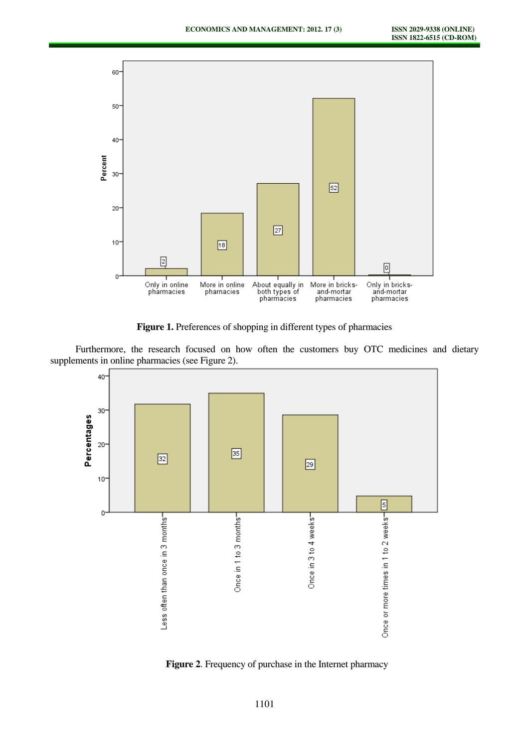

Figure 1. Preferences of shopping in different types of pharmacies

Furthermore, the research focused on how often the customers buy OTC medicines and dietary supplements in online pharmacies (see Figure 2).



**Figure 2**. Frequency of purchase in the Internet pharmacy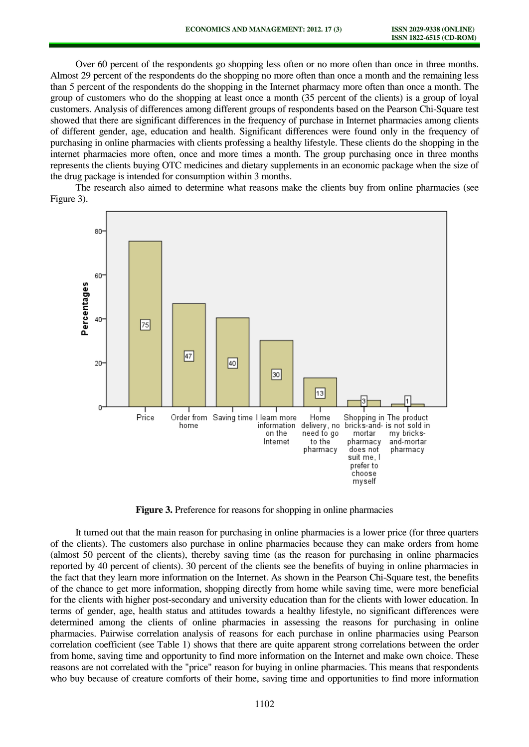Over 60 percent of the respondents go shopping less often or no more often than once in three months. Almost 29 percent of the respondents do the shopping no more often than once a month and the remaining less than 5 percent of the respondents do the shopping in the Internet pharmacy more often than once a month. The group of customers who do the shopping at least once a month (35 percent of the clients) is a group of loyal customers. Analysis of differences among different groups of respondents based on the Pearson Chi-Square test showed that there are significant differences in the frequency of purchase in Internet pharmacies among clients of different gender, age, education and health. Significant differences were found only in the frequency of purchasing in online pharmacies with clients professing a healthy lifestyle. These clients do the shopping in the internet pharmacies more often, once and more times a month. The group purchasing once in three months represents the clients buying OTC medicines and dietary supplements in an economic package when the size of the drug package is intended for consumption within 3 months.

The research also aimed to determine what reasons make the clients buy from online pharmacies (see Figure 3).



**Figure 3.** Preference for reasons for shopping in online pharmacies

It turned out that the main reason for purchasing in online pharmacies is a lower price (for three quarters of the clients). The customers also purchase in online pharmacies because they can make orders from home (almost 50 percent of the clients), thereby saving time (as the reason for purchasing in online pharmacies reported by 40 percent of clients). 30 percent of the clients see the benefits of buying in online pharmacies in the fact that they learn more information on the Internet. As shown in the Pearson Chi-Square test, the benefits of the chance to get more information, shopping directly from home while saving time, were more beneficial for the clients with higher post-secondary and university education than for the clients with lower education. In terms of gender, age, health status and attitudes towards a healthy lifestyle, no significant differences were determined among the clients of online pharmacies in assessing the reasons for purchasing in online pharmacies. Pairwise correlation analysis of reasons for each purchase in online pharmacies using Pearson correlation coefficient (see Table 1) shows that there are quite apparent strong correlations between the order from home, saving time and opportunity to find more information on the Internet and make own choice. These reasons are not correlated with the "price" reason for buying in online pharmacies. This means that respondents who buy because of creature comforts of their home, saving time and opportunities to find more information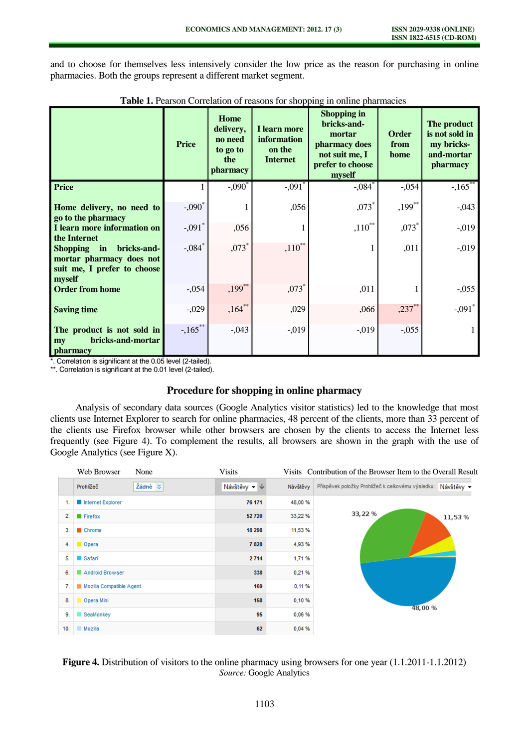and to choose for themselves less intensively consider the low price as the reason for purchasing in online pharmacies. Both the groups represent a different market segment.

|                                                                                                                      | <b>Price</b>          | <b>Home</b><br>delivery,<br>no need<br>to go to<br>the<br>pharmacy | I learn more<br>information<br>on the<br><b>Internet</b> | <b>Shopping in</b><br>bricks-and-<br>mortar<br>pharmacy does<br>not suit me, I<br>prefer to choose<br>myself | <b>Order</b><br>from<br>home | The product<br>is not sold in<br>my bricks-<br>and-mortar<br>pharmacy |
|----------------------------------------------------------------------------------------------------------------------|-----------------------|--------------------------------------------------------------------|----------------------------------------------------------|--------------------------------------------------------------------------------------------------------------|------------------------------|-----------------------------------------------------------------------|
| <b>Price</b>                                                                                                         |                       | $-.090^*$                                                          | $-.091$ <sup>*</sup>                                     | $-.084$ <sup>*</sup>                                                                                         | $-0.054$                     | $-165$                                                                |
| Home delivery, no need to<br>go to the pharmacy                                                                      | $-.090^*$             |                                                                    | ,056                                                     | $,073*$                                                                                                      | $,199***$                    | $-0.043$                                                              |
| I learn more information on<br>the Internet                                                                          | $-.091$ <sup>*</sup>  | ,056                                                               |                                                          | $,110^{**}$                                                                                                  | $,073*$                      | $-0.019$                                                              |
| bricks-and-<br><b>Shopping</b><br>$\mathbf{in}$<br>mortar pharmacy does not<br>suit me, I prefer to choose<br>myself | $-.084*$              | $,073*$                                                            | $,110^{**}$                                              |                                                                                                              | ,011                         | $-0.019$                                                              |
| <b>Order from home</b>                                                                                               | $-.054$               | $,199***$                                                          | $,073*$                                                  | ,011                                                                                                         |                              | $-0.055$                                                              |
| <b>Saving time</b>                                                                                                   | $-0.029$              | $,164***$                                                          | ,029                                                     | .066                                                                                                         | $,237$ **                    | $-.091$ <sup>*</sup>                                                  |
| The product is not sold in<br>bricks-and-mortar<br>my<br><i>pharmacy</i>                                             | $-.165$ <sup>**</sup> | $-.043$                                                            | $-0.019$                                                 | $-0.019$                                                                                                     | $-.055$                      |                                                                       |

**Table 1.** Pearson Correlation of reasons for shopping in online pharmacies

\*. Correlation is significant at the 0.05 level (2-tailed).

\*\*. Correlation is significant at the 0.01 level (2-tailed).

## **Procedure for shopping in online pharmacy**

Analysis of secondary data sources (Google Analytics visitor statistics) led to the knowledge that most clients use Internet Explorer to search for online pharmacies, 48 percent of the clients, more than 33 percent of the clients use Firefox browser while other browsers are chosen by the clients to access the Internet less frequently (see Figure 4). To complement the results, all browsers are shown in the graph with the use of Google Analytics (see Figure X).

|     | Web Browser<br>None       | <b>Visits</b> |          | Visits Contribution of the Browser Item to the Overall Result |  |  |
|-----|---------------------------|---------------|----------|---------------------------------------------------------------|--|--|
|     | Žádné $\leq$<br>Prohlížeč | Návštěvy - ↓  | Návštěvy | Příspěvek položky Prohlížeč k celkovému výsledku: Návštěvy v  |  |  |
| 1.  | Internet Explorer         | 76 171        | 48,00 %  |                                                               |  |  |
| 2.  | $\blacksquare$ Firefox    | 52720         | 33,22 %  | 33, 22 %<br>11,53%                                            |  |  |
| З.  | Chrome                    | 18 298        | 11,53 %  |                                                               |  |  |
| 4.  | Opera                     | 7828          | 4,93%    |                                                               |  |  |
| 5.  | Safari                    | 2714          | 1,71%    |                                                               |  |  |
| 6.  | Android Browser           | 338           | 0,21%    |                                                               |  |  |
| 7.  | Mozilla Compatible Agent  | 169           | 0,11%    |                                                               |  |  |
| 8.  | Opera Mini                | 158           | 0,10%    |                                                               |  |  |
| 9.  | SeaMonkey                 | 95            | 0,06 %   | 48,00 %                                                       |  |  |
| 10. | Mozilla                   | 62            | 0,04%    |                                                               |  |  |

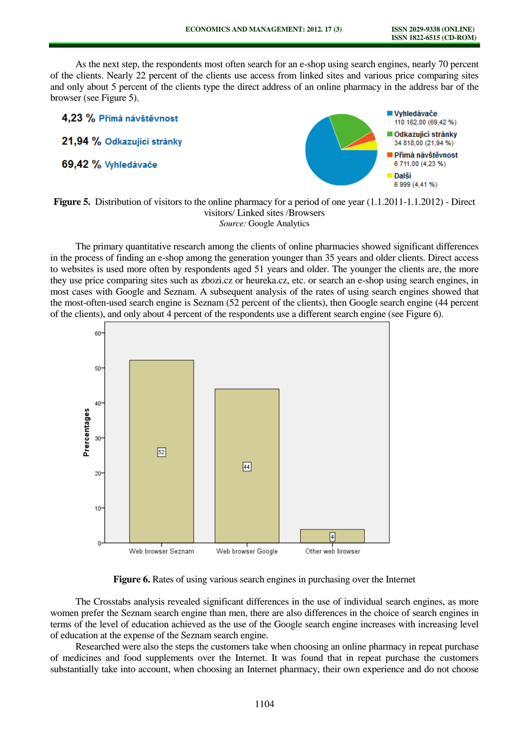As the next step, the respondents most often search for an e-shop using search engines, nearly 70 percent of the clients. Nearly 22 percent of the clients use access from linked sites and various price comparing sites and only about 5 percent of the clients type the direct address of an online pharmacy in the address bar of the browser (see Figure 5).



## **Figure 5.** Distribution of visitors to the online pharmacy for a period of one year  $(1.1.2011-1.1.2012)$  - Direct visitors/ Linked sites /Browsers *Source:* Google Analytics

The primary quantitative research among the clients of online pharmacies showed significant differences in the process of finding an e-shop among the generation younger than 35 years and older clients. Direct access to websites is used more often by respondents aged 51 years and older. The younger the clients are, the more they use price comparing sites such as zbozi.cz or heureka.cz, etc. or search an e-shop using search engines, in most cases with Google and Seznam. A subsequent analysis of the rates of using search engines showed that the most-often-used search engine is Seznam (52 percent of the clients), then Google search engine (44 percent of the clients), and only about 4 percent of the respondents use a different search engine (see Figure 6).



**Figure 6.** Rates of using various search engines in purchasing over the Internet

The Crosstabs analysis revealed significant differences in the use of individual search engines, as more women prefer the Seznam search engine than men, there are also differences in the choice of search engines in terms of the level of education achieved as the use of the Google search engine increases with increasing level of education at the expense of the Seznam search engine.

Researched were also the steps the customers take when choosing an online pharmacy in repeat purchase of medicines and food supplements over the Internet. It was found that in repeat purchase the customers substantially take into account, when choosing an Internet pharmacy, their own experience and do not choose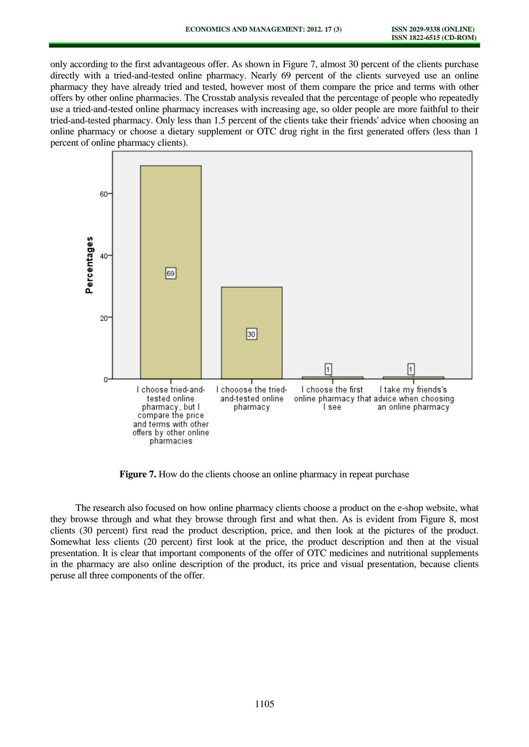only according to the first advantageous offer. As shown in Figure 7, almost 30 percent of the clients purchase directly with a tried-and-tested online pharmacy. Nearly 69 percent of the clients surveyed use an online pharmacy they have already tried and tested, however most of them compare the price and terms with other offers by other online pharmacies. The Crosstab analysis revealed that the percentage of people who repeatedly use a tried-and-tested online pharmacy increases with increasing age, so older people are more faithful to their tried-and-tested pharmacy. Only less than 1.5 percent of the clients take their friends' advice when choosing an online pharmacy or choose a dietary supplement or OTC drug right in the first generated offers (less than 1 percent of online pharmacy clients).



Figure 7. How do the clients choose an online pharmacy in repeat purchase

The research also focused on how online pharmacy clients choose a product on the e-shop website, what they browse through and what they browse through first and what then. As is evident from Figure 8, most clients (30 percent) first read the product description, price, and then look at the pictures of the product. Somewhat less clients (20 percent) first look at the price, the product description and then at the visual presentation. It is clear that important components of the offer of OTC medicines and nutritional supplements in the pharmacy are also online description of the product, its price and visual presentation, because clients peruse all three components of the offer.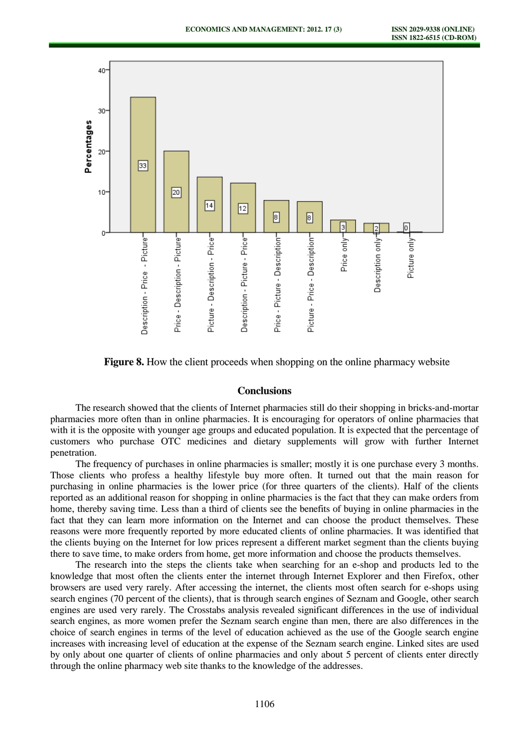

**Figure 8.** How the client proceeds when shopping on the online pharmacy website

#### **Conclusions**

The research showed that the clients of Internet pharmacies still do their shopping in bricks-and-mortar pharmacies more often than in online pharmacies. It is encouraging for operators of online pharmacies that with it is the opposite with younger age groups and educated population. It is expected that the percentage of customers who purchase OTC medicines and dietary supplements will grow with further Internet penetration.

The frequency of purchases in online pharmacies is smaller; mostly it is one purchase every 3 months. Those clients who profess a healthy lifestyle buy more often. It turned out that the main reason for purchasing in online pharmacies is the lower price (for three quarters of the clients). Half of the clients reported as an additional reason for shopping in online pharmacies is the fact that they can make orders from home, thereby saving time. Less than a third of clients see the benefits of buying in online pharmacies in the fact that they can learn more information on the Internet and can choose the product themselves. These reasons were more frequently reported by more educated clients of online pharmacies. It was identified that the clients buying on the Internet for low prices represent a different market segment than the clients buying there to save time, to make orders from home, get more information and choose the products themselves.

The research into the steps the clients take when searching for an e-shop and products led to the knowledge that most often the clients enter the internet through Internet Explorer and then Firefox, other browsers are used very rarely. After accessing the internet, the clients most often search for e-shops using search engines (70 percent of the clients), that is through search engines of Seznam and Google, other search engines are used very rarely. The Crosstabs analysis revealed significant differences in the use of individual search engines, as more women prefer the Seznam search engine than men, there are also differences in the choice of search engines in terms of the level of education achieved as the use of the Google search engine increases with increasing level of education at the expense of the Seznam search engine. Linked sites are used by only about one quarter of clients of online pharmacies and only about 5 percent of clients enter directly through the online pharmacy web site thanks to the knowledge of the addresses.